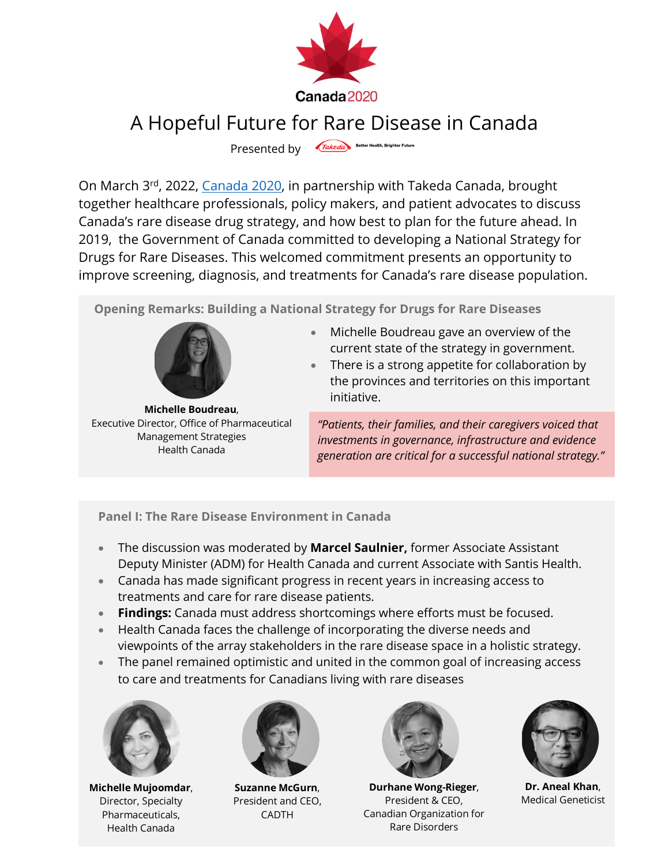

## A Hopeful Future for Rare Disease in Canada

Presented by Takeda Better Health, Brighter Future

On March 3rd, 2022, Canada 2020, in partnership with Takeda Canada, brought together healthcare professionals, policy makers, and patient advocates to discuss Canada's rare disease drug strategy, and how best to plan for the future ahead. In 2019, the Government of Canada committed to developing a National Strategy for Drugs for Rare Diseases. This welcomed commitment presents an opportunity to improve screening, diagnosis, and treatments for Canada's rare disease population.

**Opening Remarks: Building a National Strategy for Drugs for Rare Diseases**



**Michelle Boudreau**, Executive Director, Office of Pharmaceutical Management Strategies Health Canada

- Michelle Boudreau gave an overview of the current state of the strategy in government.
- There is a strong appetite for collaboration by the provinces and territories on this important initiative.

*"Patients, their families, and their caregivers voiced that investments in governance, infrastructure and evidence generation are critical for a successful national strategy."* 

**Panel I: The Rare Disease Environment in Canada**

- The discussion was moderated by **Marcel Saulnier,** former Associate Assistant Deputy Minister (ADM) for Health Canada and current Associate with Santis Health.
- Canada has made significant progress in recent years in increasing access to treatments and care for rare disease patients.
- **Findings:** Canada must address shortcomings where efforts must be focused.
- Health Canada faces the challenge of incorporating the diverse needs and viewpoints of the array stakeholders in the rare disease space in a holistic strategy.
- The panel remained optimistic and united in the common goal of increasing access to care and treatments for Canadians living with rare diseases



**Michelle Mujoomdar**, Director, Specialty Pharmaceuticals, Health Canada



**Suzanne McGurn**, President and CEO, CADTH



**Durhane Wong-Rieger**, President & CEO, Canadian Organization for Rare Disorders



**Dr. Aneal Khan**, Medical Geneticist